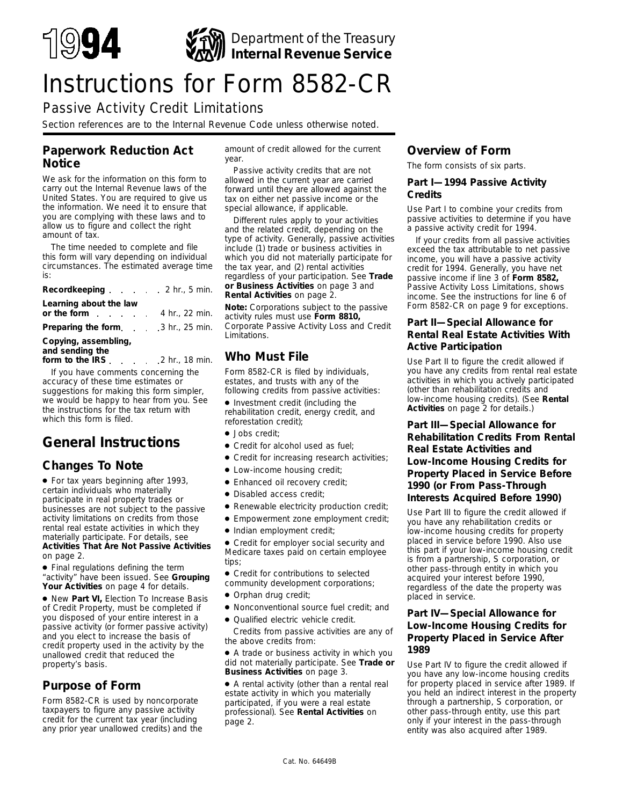

# Instructions for Form 8582-CR

# Passive Activity Credit Limitations

*Section references are to the Internal Revenue Code unless otherwise noted.*

# **Paperwork Reduction Act Notice**

We ask for the information on this form to carry out the Internal Revenue laws of the United States. You are required to give us the information. We need it to ensure that you are complying with these laws and to allow us to figure and collect the right amount of tax.

The time needed to complete and file this form will vary depending on individual circumstances. The estimated average time is:

| Recordkeeping 2 hr., 5 min.                                            |  |
|------------------------------------------------------------------------|--|
| Learning about the law<br>or the form $\ldots$ $\ldots$ 4 hr., 22 min. |  |
| <b>Preparing the form.</b> 3 hr., 25 min.                              |  |
|                                                                        |  |

#### **Copying, assembling, and sending the**

**form to the IRS**  $\ldots$  2 hr., 18 min.

If you have comments concerning the accuracy of these time estimates or suggestions for making this form simpler, we would be happy to hear from you. See the instructions for the tax return with which this form is filed.

# **General Instructions**

# **Changes To Note**

● For tax years beginning after 1993, certain individuals who materially participate in real property trades or businesses are not subject to the passive activity limitations on credits from those rental real estate activities in which they materially participate. For details, see **Activities That Are Not Passive Activities** on page 2.

● Final regulations defining the term "activity" have been issued. See **Grouping Your Activities** on page 4 for details.

● New **Part VI,** Election To Increase Basis of Credit Property, must be completed if you disposed of your entire interest in a passive activity (or former passive activity) and you elect to increase the basis of credit property used in the activity by the unallowed credit that reduced the property's basis.

# **Purpose of Form**

Form 8582-CR is used by noncorporate taxpayers to figure any passive activity credit for the current tax year (including any prior year unallowed credits) and the

amount of credit allowed for the current year.

Passive activity credits that are not allowed in the current year are carried forward until they are allowed against the tax on either net passive income or the special allowance, if applicable.

Different rules apply to your activities and the related credit, depending on the type of activity. Generally, passive activities include (1) trade or business activities in which you did not materially participate for the tax year, and (2) rental activities regardless of your participation. See **Trade or Business Activities** on page 3 and **Rental Activities** on page 2.

**Note:** *Corporations subject to the passive activity rules must use Form 8810, Corporate Passive Activity Loss and Credit Limitations.*

# **Who Must File**

Form 8582-CR is filed by individuals, estates, and trusts with any of the following credits from passive activities:

● Investment credit (including the rehabilitation credit, energy credit, and reforestation credit);

- Jobs credit;
- Credit for alcohol used as fuel;
- Credit for increasing research activities;
- Low-income housing credit;
- Enhanced oil recovery credit;
- Disabled access credit;
- Renewable electricity production credit;
- Empowerment zone employment credit;
- Indian employment credit;

● Credit for employer social security and Medicare taxes paid on certain employee tips;

● Credit for contributions to selected community development corporations;

- Orphan drug credit;
- Nonconventional source fuel credit; and
- Qualified electric vehicle credit.

Credits from passive activities are any of the above credits from:

● A trade or business activity in which you did not materially participate. See **Trade or Business Activities** on page 3.

● A rental activity (other than a rental real estate activity in which you materially participated, if you were a real estate professional). See **Rental Activities** on page 2.

# **Overview of Form**

The form consists of six parts.

#### **Part I—1994 Passive Activity Credits**

Use Part I to combine your credits from passive activities to determine if you have a passive activity credit for 1994.

If your credits from all passive activities exceed the tax attributable to net passive income, you will have a passive activity credit for 1994. Generally, you have net passive income if line 3 of **Form 8582,** Passive Activity Loss Limitations, shows income. See the instructions for line 6 of Form 8582-CR on page 9 for exceptions.

# **Part II—Special Allowance for Rental Real Estate Activities With Active Participation**

Use Part II to figure the credit allowed if you have any credits from rental real estate activities in which you actively participated (other than rehabilitation credits and low-income housing credits). (See **Rental Activities** on page 2 for details.)

# **Part III—Special Allowance for Rehabilitation Credits From Rental Real Estate Activities and Low-Income Housing Credits for Property Placed in Service Before 1990 (or From Pass-Through Interests Acquired Before 1990)**

Use Part III to figure the credit allowed if you have any rehabilitation credits or low-income housing credits for property placed in service before 1990. Also use this part if your low-income housing credit is from a partnership, S corporation, or other pass-through entity in which you acquired your interest before 1990, regardless of the date the property was placed in service.

### **Part IV—Special Allowance for Low-Income Housing Credits for Property Placed in Service After 1989**

Use Part IV to figure the credit allowed if you have any low-income housing credits for property placed in service after 1989. If you held an indirect interest in the property through a partnership, S corporation, or other pass-through entity, use this part only if your interest in the pass-through entity was also acquired after 1989.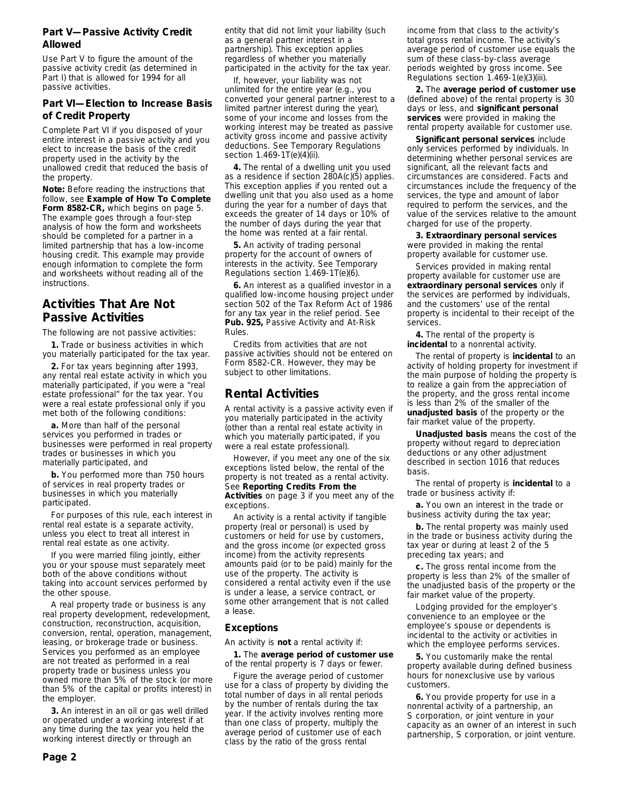#### **Part V—Passive Activity Credit Allowed**

Use Part V to figure the amount of the passive activity credit (as determined in Part I) that is allowed for 1994 for all passive activities.

### **Part VI—Election to Increase Basis of Credit Property**

Complete Part VI if you disposed of your entire interest in a passive activity and you elect to increase the basis of the credit property used in the activity by the unallowed credit that reduced the basis of the property.

**Note:** *Before reading the instructions that follow, see Example of How To Complete Form 8582-CR, which begins on page 5. The example goes through a four-step analysis of how the form and worksheets should be completed for a partner in a limited partnership that has a low-income housing credit. This example may provide enough information to complete the form and worksheets without reading all of the instructions.*

# **Activities That Are Not Passive Activities**

The following are not passive activities:

**1.** Trade or business activities in which you materially participated for the tax year.

**2.** For tax years beginning after 1993, any rental real estate activity in which you materially participated, if you were a "real estate professional" for the tax year. You were a real estate professional only if you met both of the following conditions:

**a.** More than half of the personal services you performed in trades or businesses were performed in real property trades or businesses in which you materially participated, and

**b.** You performed more than 750 hours of services in real property trades or businesses in which you materially participated.

For purposes of this rule, each interest in rental real estate is a separate activity, unless you elect to treat all interest in rental real estate as one activity.

If you were married filing jointly, either you or your spouse must separately meet both of the above conditions without taking into account services performed by the other spouse.

A real property trade or business is any real property development, redevelopment, construction, reconstruction, acquisition, conversion, rental, operation, management, leasing, or brokerage trade or business. Services you performed as an employee are not treated as performed in a real property trade or business unless you owned more than 5% of the stock (or more than 5% of the capital or profits interest) in the employer.

**3.** An interest in an oil or gas well drilled or operated under a working interest if at any time during the tax year you held the working interest directly or through an

**Page 2**

entity that did not limit your liability (such as a general partner interest in a partnership). This exception applies regardless of whether you materially participated in the activity for the tax year.

If, however, your liability was not unlimited for the entire year (e.g., you converted your general partner interest to a limited partner interest during the year), some of your income and losses from the working interest may be treated as passive activity gross income and passive activity deductions. See Temporary Regulations section 1.469-1T(e)(4)(ii).

**4.** The rental of a dwelling unit you used as a residence if section 280A(c)(5) applies. This exception applies if you rented out a dwelling unit that you also used as a home during the year for a number of days that exceeds the greater of 14 days or 10% of the number of days during the year that the home was rented at a fair rental.

**5.** An activity of trading personal property for the account of owners of interests in the activity. See Temporary Regulations section 1.469-1T(e)(6).

**6.** An interest as a qualified investor in a qualified low-income housing project under section 502 of the Tax Reform Act of 1986 for any tax year in the relief period. See **Pub. 925,** Passive Activity and At-Risk Rules.

Credits from activities that are not passive activities should not be entered on Form 8582-CR. However, they may be subject to other limitations.

# **Rental Activities**

A rental activity is a passive activity even if you materially participated in the activity (other than a rental real estate activity in which you materially participated, if you were a real estate professional).

However, if you meet any one of the six exceptions listed below, the rental of the property is not treated as a rental activity. See **Reporting Credits From the Activities** on page 3 if you meet any of the exceptions.

An activity is a rental activity if tangible property (real or personal) is used by customers or held for use by customers, and the gross income (or expected gross income) from the activity represents amounts paid (or to be paid) mainly for the use of the property. The activity is considered a rental activity even if the use is under a lease, a service contract, or some other arrangement that is not called a lease.

### **Exceptions**

An activity is **not** a rental activity if:

**1.** The **average period of customer use** of the rental property is 7 days or fewer.

Figure the average period of customer use for a class of property by dividing the total number of days in all rental periods by the number of rentals during the tax year. If the activity involves renting more than one class of property, multiply the average period of customer use of each class by the ratio of the gross rental

income from that class to the activity's total gross rental income. The activity's average period of customer use equals the sum of these class-by-class average periods weighted by gross income. See Regulations section 1.469-1(e)(3)(iii).

**2.** The **average period of customer use** (defined above) of the rental property is 30 days or less, and **significant personal services** were provided in making the rental property available for customer use.

**Significant personal services** include only services performed by individuals. In determining whether personal services are significant, all the relevant facts and circumstances are considered. Facts and circumstances include the frequency of the services, the type and amount of labor required to perform the services, and the value of the services relative to the amount charged for use of the property.

**3. Extraordinary personal services** were provided in making the rental property available for customer use.

Services provided in making rental property available for customer use are **extraordinary personal services** only if the services are performed by individuals, and the customers' use of the rental property is incidental to their receipt of the services.

**4.** The rental of the property is **incidental** to a nonrental activity.

The rental of property is **incidental** to an activity of holding property for investment if the main purpose of holding the property is to realize a gain from the appreciation of the property, and the gross rental income is less than 2% of the smaller of the **unadjusted basis** of the property or the fair market value of the property.

**Unadjusted basis** means the cost of the property without regard to depreciation deductions or any other adjustment described in section 1016 that reduces basis.

The rental of property is **incidental** to a trade or business activity if:

**a.** You own an interest in the trade or business activity during the tax year;

**b.** The rental property was mainly used in the trade or business activity during the tax year or during at least 2 of the 5 preceding tax years; and

**c.** The gross rental income from the property is less than 2% of the smaller of the unadjusted basis of the property or the fair market value of the property.

Lodging provided for the employer's convenience to an employee or the employee's spouse or dependents is incidental to the activity or activities in which the employee performs services.

**5.** You customarily make the rental property available during defined business hours for nonexclusive use by various customers.

**6.** You provide property for use in a nonrental activity of a partnership, an S corporation, or joint venture in your capacity as an owner of an interest in such partnership, S corporation, or joint venture.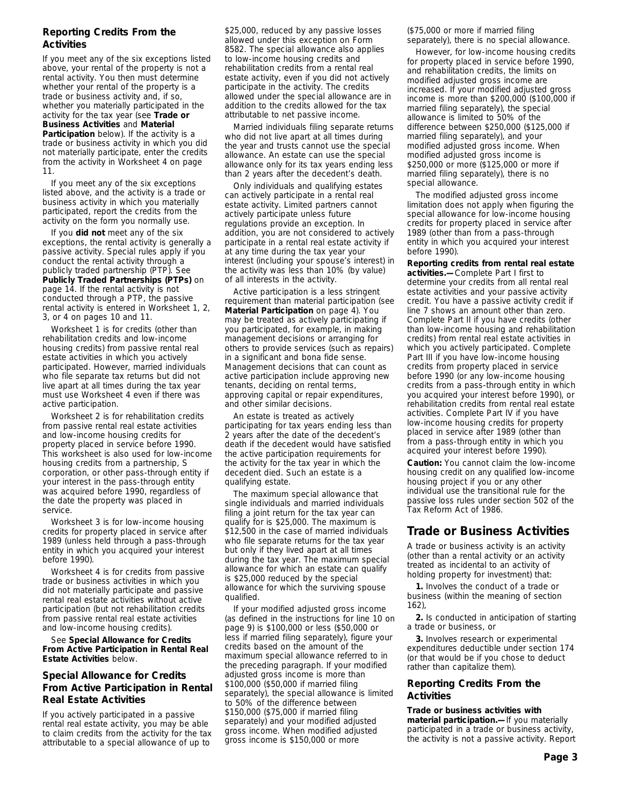# **Reporting Credits From the Activities**

If you meet any of the six exceptions listed above, your rental of the property is not a rental activity. You then must determine whether your rental of the property is a trade or business activity and, if so, whether you materially participated in the activity for the tax year (see **Trade or Business Activities** and **Material Participation** below). If the activity is a trade or business activity in which you did not materially participate, enter the credits from the activity in Worksheet 4 on page 11.

If you meet any of the six exceptions listed above, and the activity is a trade or business activity in which you materially participated, report the credits from the activity on the form you normally use.

If you **did not** meet any of the six exceptions, the rental activity is generally a passive activity. Special rules apply if you conduct the rental activity through a publicly traded partnership (PTP). See **Publicly Traded Partnerships (PTPs)** on page 14. If the rental activity is not conducted through a PTP, the passive rental activity is entered in Worksheet 1, 2, 3, or 4 on pages 10 and 11.

Worksheet 1 is for credits (other than rehabilitation credits and low-income housing credits) from passive rental real estate activities in which you actively participated. However, married individuals who file separate tax returns but did not live apart at all times during the tax year must use Worksheet 4 even if there was active participation.

Worksheet 2 is for rehabilitation credits from passive rental real estate activities and low-income housing credits for property placed in service before 1990. This worksheet is also used for low-income housing credits from a partnership, S corporation, or other pass-through entity if your interest in the pass-through entity was acquired before 1990, regardless of the date the property was placed in service.

Worksheet 3 is for low-income housing credits for property placed in service after 1989 (unless held through a pass-through entity in which you acquired your interest before 1990).

Worksheet 4 is for credits from passive trade or business activities in which you did not materially participate and passive rental real estate activities without active participation (but not rehabilitation credits from passive rental real estate activities and low-income housing credits).

See **Special Allowance for Credits From Active Participation in Rental Real Estate Activities** below.

# **Special Allowance for Credits From Active Participation in Rental Real Estate Activities**

If you actively participated in a passive rental real estate activity, you may be able to claim credits from the activity for the tax attributable to a special allowance of up to

\$25,000, reduced by any passive losses allowed under this exception on Form 8582. The special allowance also applies to low-income housing credits and rehabilitation credits from a rental real estate activity, even if you did not actively participate in the activity. The credits allowed under the special allowance are in addition to the credits allowed for the tax attributable to net passive income.

Married individuals filing separate returns who did not live apart at all times during the year and trusts cannot use the special allowance. An estate can use the special allowance only for its tax years ending less than 2 years after the decedent's death.

Only individuals and qualifying estates can actively participate in a rental real estate activity. Limited partners cannot actively participate unless future regulations provide an exception. In addition, you are not considered to actively participate in a rental real estate activity if at any time during the tax year your interest (including your spouse's interest) in the activity was less than 10% (by value) of all interests in the activity.

Active participation is a less stringent requirement than material participation (see **Material Participation** on page 4). You may be treated as actively participating if you participated, for example, in making management decisions or arranging for others to provide services (such as repairs) in a significant and bona fide sense. Management decisions that can count as active participation include approving new tenants, deciding on rental terms, approving capital or repair expenditures, and other similar decisions.

An estate is treated as actively participating for tax years ending less than 2 years after the date of the decedent's death if the decedent would have satisfied the active participation requirements for the activity for the tax year in which the decedent died. Such an estate is a qualifying estate.

The maximum special allowance that single individuals and married individuals filing a joint return for the tax year can qualify for is \$25,000. The maximum is \$12,500 in the case of married individuals who file separate returns for the tax year but only if they lived apart at all times during the tax year. The maximum special allowance for which an estate can qualify is \$25,000 reduced by the special allowance for which the surviving spouse qualified.

If your modified adjusted gross income (as defined in the instructions for line 10 on page 9) is \$100,000 or less (\$50,000 or less if married filing separately), figure your credits based on the amount of the maximum special allowance referred to in the preceding paragraph. If your modified adjusted gross income is more than \$100,000 (\$50,000 if married filing separately), the special allowance is limited to 50% of the difference between \$150,000 (\$75,000 if married filing separately) and your modified adjusted gross income. When modified adjusted gross income is \$150,000 or more

(\$75,000 or more if married filing separately), there is no special allowance.

However, for low-income housing credits for property placed in service before 1990, and rehabilitation credits, the limits on modified adjusted gross income are increased. If your modified adjusted gross income is more than \$200,000 (\$100,000 if married filing separately), the special allowance is limited to 50% of the difference between \$250,000 (\$125,000 if married filing separately), and your modified adjusted gross income. When modified adjusted gross income is \$250,000 or more (\$125,000 or more if married filing separately), there is no special allowance.

The modified adjusted gross income limitation does not apply when figuring the special allowance for low-income housing credits for property placed in service after 1989 (other than from a pass-through entity in which you acquired your interest before 1990).

**Reporting credits from rental real estate activities.—**Complete Part I first to determine your credits from all rental real estate activities and your passive activity credit. You have a passive activity credit if line 7 shows an amount other than zero. Complete Part II if you have credits (other than low-income housing and rehabilitation credits) from rental real estate activities in which you actively participated. Complete Part III if you have low-income housing credits from property placed in service before 1990 (or any low-income housing credits from a pass-through entity in which you acquired your interest before 1990), or rehabilitation credits from rental real estate activities. Complete Part IV if you have low-income housing credits for property placed in service after 1989 (other than from a pass-through entity in which you acquired your interest before 1990).

**Caution:** *You cannot claim the low-income housing credit on any qualified low-income housing project if you or any other individual use the transitional rule for the passive loss rules under section 502 of the Tax Reform Act of 1986.*

# **Trade or Business Activities**

A trade or business activity is an activity (other than a rental activity or an activity treated as incidental to an activity of holding property for investment) that:

**1.** Involves the conduct of a trade or business (within the meaning of section 162),

**2.** Is conducted in anticipation of starting a trade or business, or

**3.** Involves research or experimental expenditures deductible under section 174 (or that would be if you chose to deduct rather than capitalize them).

#### **Reporting Credits From the Activities**

**Trade or business activities with material participation.—**If you materially participated in a trade or business activity, the activity is not a passive activity. Report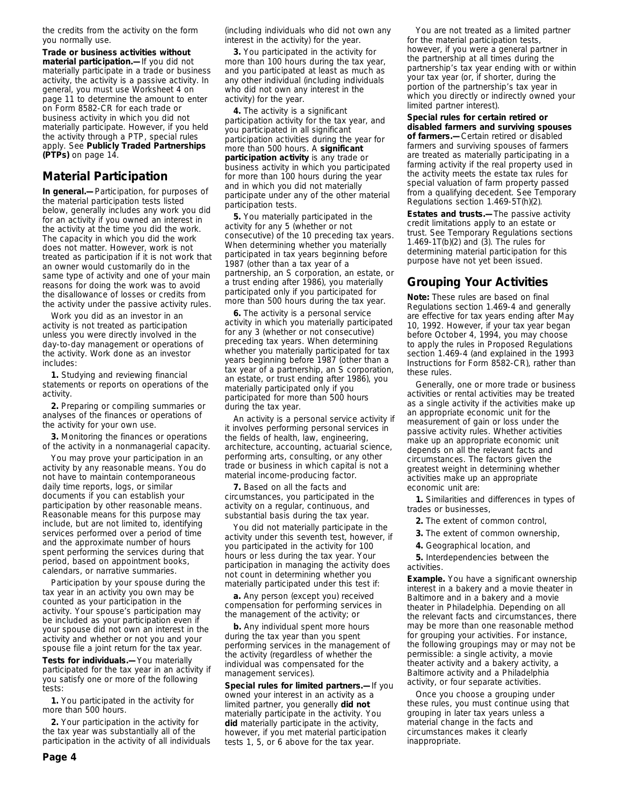the credits from the activity on the form you normally use.

**Trade or business activities without material participation.—**If you did not materially participate in a trade or business activity, the activity is a passive activity. In general, you must use Worksheet 4 on page 11 to determine the amount to enter on Form 8582-CR for each trade or business activity in which you did not materially participate. However, if you held the activity through a PTP, special rules apply. See **Publicly Traded Partnerships (PTPs)** on page 14.

# **Material Participation**

**In general.—**Participation, for purposes of the material participation tests listed below, generally includes any work you did for an activity if you owned an interest in the activity at the time you did the work. The capacity in which you did the work does not matter. However, work is not treated as participation if it is not work that an owner would customarily do in the same type of activity and one of your main reasons for doing the work was to avoid the disallowance of losses or credits from the activity under the passive activity rules.

Work you did as an investor in an activity is not treated as participation unless you were directly involved in the day-to-day management or operations of the activity. Work done as an investor includes:

**1.** Studying and reviewing financial statements or reports on operations of the activity.

**2.** Preparing or compiling summaries or analyses of the finances or operations of the activity for your own use.

**3.** Monitoring the finances or operations of the activity in a nonmanagerial capacity.

You may prove your participation in an activity by any reasonable means. You do not have to maintain contemporaneous daily time reports, logs, or similar documents if you can establish your participation by other reasonable means. Reasonable means for this purpose may include, but are not limited to, identifying services performed over a period of time and the approximate number of hours spent performing the services during that period, based on appointment books, calendars, or narrative summaries.

Participation by your spouse during the tax year in an activity you own may be counted as your participation in the activity. Your spouse's participation may be included as your participation even if your spouse did not own an interest in the activity and whether or not you and your spouse file a joint return for the tax year.

**Tests for individuals.—**You materially participated for the tax year in an activity if you satisfy one or more of the following tests:

**1.** You participated in the activity for more than 500 hours.

**2.** Your participation in the activity for the tax year was substantially all of the participation in the activity of all individuals (including individuals who did not own any interest in the activity) for the year.

**3.** You participated in the activity for more than 100 hours during the tax year, and you participated at least as much as any other individual (including individuals who did not own any interest in the activity) for the year.

**4.** The activity is a significant participation activity for the tax year, and you participated in all significant participation activities during the year for more than 500 hours. A **significant participation activity** is any trade or business activity in which you participated for more than 100 hours during the year and in which you did not materially participate under any of the other material participation tests.

**5.** You materially participated in the activity for any 5 (whether or not consecutive) of the 10 preceding tax years. When determining whether you materially participated in tax years beginning before 1987 (other than a tax year of a partnership, an S corporation, an estate, or a trust ending after 1986), you materially participated only if you participated for more than 500 hours during the tax year.

**6.** The activity is a personal service activity in which you materially participated for any 3 (whether or not consecutive) preceding tax years. When determining whether you materially participated for tax years beginning before 1987 (other than a tax year of a partnership, an S corporation, an estate, or trust ending after 1986), you materially participated only if you participated for more than 500 hours during the tax year.

An activity is a personal service activity if it involves performing personal services in the fields of health, law, engineering, architecture, accounting, actuarial science, performing arts, consulting, or any other trade or business in which capital is not a material income-producing factor.

**7.** Based on all the facts and circumstances, you participated in the activity on a regular, continuous, and substantial basis during the tax year.

You did not materially participate in the activity under this seventh test, however, if you participated in the activity for 100 hours or less during the tax year. Your participation in managing the activity does not count in determining whether you materially participated under this test if:

**a.** Any person (except you) received compensation for performing services in the management of the activity; or

**b.** Any individual spent more hours during the tax year than you spent performing services in the management of the activity (regardless of whether the individual was compensated for the management services).

**Special rules for limited partners.—**If you owned your interest in an activity as a limited partner, you generally **did not** materially participate in the activity. You **did** materially participate in the activity, however, if you met material participation tests 1, 5, or 6 above for the tax year.

You are not treated as a limited partner for the material participation tests, however, if you were a general partner in the partnership at all times during the partnership's tax year ending with or within your tax year (or, if shorter, during the portion of the partnership's tax year in which you directly or indirectly owned your limited partner interest).

**Special rules for certain retired or disabled farmers and surviving spouses of farmers.—**Certain retired or disabled farmers and surviving spouses of farmers are treated as materially participating in a farming activity if the real property used in the activity meets the estate tax rules for special valuation of farm property passed from a qualifying decedent. See Temporary Regulations section 1.469-5T(h)(2).

**Estates and trusts.—**The passive activity credit limitations apply to an estate or trust. See Temporary Regulations sections 1.469-1T(b)(2) and (3). The rules for determining material participation for this purpose have not yet been issued.

# **Grouping Your Activities**

**Note:** *These rules are based on final Regulations section 1.469-4 and generally are effective for tax years ending after May 10, 1992. However, if your tax year began before October 4, 1994, you may choose to apply the rules in Proposed Regulations section 1.469-4 (and explained in the 1993 Instructions for Form 8582-CR), rather than these rules.*

Generally, one or more trade or business activities or rental activities may be treated as a single activity if the activities make up an appropriate economic unit for the measurement of gain or loss under the passive activity rules. Whether activities make up an appropriate economic unit depends on all the relevant facts and circumstances. The factors given the greatest weight in determining whether activities make up an appropriate economic unit are:

**1.** Similarities and differences in types of trades or businesses,

**2.** The extent of common control,

**3.** The extent of common ownership,

**4.** Geographical location, and

**5.** Interdependencies between the activities.

**Example.** You have a significant ownership interest in a bakery and a movie theater in Baltimore and in a bakery and a movie theater in Philadelphia. Depending on all the relevant facts and circumstances, there may be more than one reasonable method for grouping your activities. For instance, the following groupings may or may not be permissible: a single activity, a movie theater activity and a bakery activity, a Baltimore activity and a Philadelphia activity, or four separate activities.

Once you choose a grouping under these rules, you must continue using that grouping in later tax years unless a material change in the facts and circumstances makes it clearly inappropriate.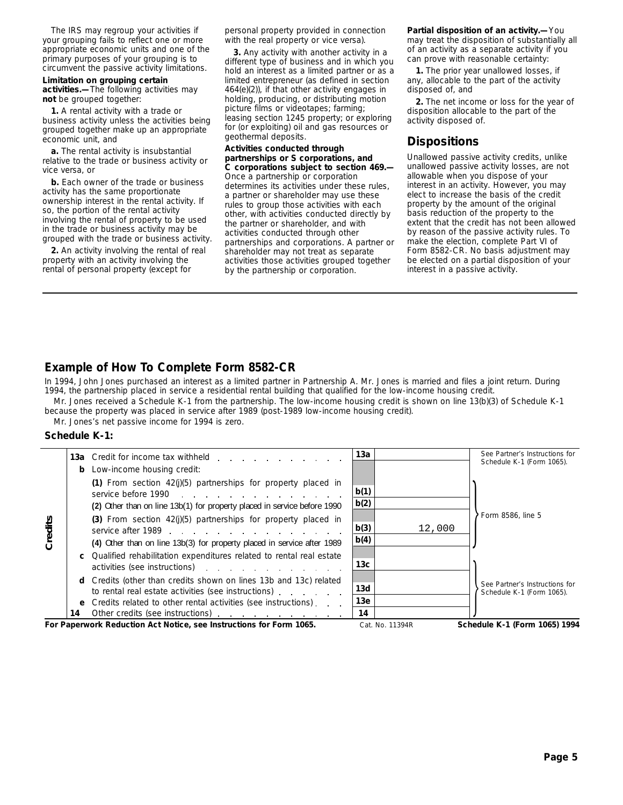The IRS may regroup your activities if your grouping fails to reflect one or more appropriate economic units and one of the primary purposes of your grouping is to circumvent the passive activity limitations.

# **Limitation on grouping certain**

**activities.—**The following activities may **not** be grouped together:

**1.** A rental activity with a trade or business activity unless the activities being grouped together make up an appropriate economic unit, and

**a.** The rental activity is insubstantial relative to the trade or business activity or vice versa, or

**b.** Each owner of the trade or business activity has the same proportionate ownership interest in the rental activity. If so, the portion of the rental activity involving the rental of property to be used in the trade or business activity may be grouped with the trade or business activity.

**2.** An activity involving the rental of real property with an activity involving the rental of personal property (except for

personal property provided in connection with the real property or vice versa).

**3.** Any activity with another activity in a different type of business and in which you hold an interest as a limited partner or as a limited entrepreneur (as defined in section 464(e)(2)), if that other activity engages in holding, producing, or distributing motion picture films or videotapes; farming; leasing section 1245 property; or exploring for (or exploiting) oil and gas resources or geothermal deposits.

# **Activities conducted through partnerships or S corporations, and**

**C corporations subject to section 469.—** Once a partnership or corporation determines its activities under these rules, a partner or shareholder may use these rules to group those activities with each other, with activities conducted directly by the partner or shareholder, and with activities conducted through other partnerships and corporations. A partner or shareholder may not treat as separate activities those activities grouped together by the partnership or corporation.

**Partial disposition of an activity.—**You may treat the disposition of substantially all of an activity as a separate activity if you can prove with reasonable certainty:

**1.** The prior year unallowed losses, if any, allocable to the part of the activity disposed of, and

**2.** The net income or loss for the year of disposition allocable to the part of the activity disposed of.

# **Dispositions**

Unallowed passive activity credits, unlike unallowed passive activity losses, are not allowable when you dispose of your interest in an activity. However, you may elect to increase the basis of the credit property by the amount of the original basis reduction of the property to the extent that the credit has not been allowed by reason of the passive activity rules. To make the election, complete Part VI of Form 8582-CR. No basis adjustment may be elected on a partial disposition of your interest in a passive activity.

# **Example of How To Complete Form 8582-CR**

In 1994, John Jones purchased an interest as a limited partner in Partnership A. Mr. Jones is married and files a joint return. During 1994, the partnership placed in service a residential rental building that qualified for the low-income housing credit.

Mr. Jones received a Schedule K-1 from the partnership. The low-income housing credit is shown on line 13(b)(3) of Schedule K-1 because the property was placed in service after 1989 (post-1989 low-income housing credit).

Mr. Jones's net passive income for 1994 is zero.

#### **Schedule K-1:**

|         |                                                                                                                         | 13a Credit for income tax withheld example of the contract of the contract of the contract of the contract of the contract of the contract of the contract of the contract of the contract of the contract of the contract of | 13а             |        |  | See Partner's Instructions for<br>Schedule K-1 (Form 1065). |  |
|---------|-------------------------------------------------------------------------------------------------------------------------|-------------------------------------------------------------------------------------------------------------------------------------------------------------------------------------------------------------------------------|-----------------|--------|--|-------------------------------------------------------------|--|
|         |                                                                                                                         | <b>b</b> Low-income housing credit:                                                                                                                                                                                           |                 |        |  |                                                             |  |
|         |                                                                                                                         | (1) From section $42(j)(5)$ partnerships for property placed in<br>service before 1990                                                                                                                                        | b(1)            |        |  |                                                             |  |
|         |                                                                                                                         | (2) Other than on line 13b(1) for property placed in service before 1990                                                                                                                                                      | b(2)            |        |  |                                                             |  |
| Credits |                                                                                                                         | (3) From section $42(j)(5)$ partnerships for property placed in<br>service after 1989                                                                                                                                         | b(3)            | 12,000 |  | Form 8586, line 5                                           |  |
|         |                                                                                                                         | (4) Other than on line 13b(3) for property placed in service after 1989                                                                                                                                                       | b(4)            |        |  |                                                             |  |
|         |                                                                                                                         | <b>c</b> Qualified rehabilitation expenditures related to rental real estate<br>activities (see instructions) example and the set of the set of the set of the set of the set of the set of the                               | 13 <sub>c</sub> |        |  |                                                             |  |
|         |                                                                                                                         | <b>d</b> Credits (other than credits shown on lines 13b and 13c) related<br>to rental real estate activities (see instructions).                                                                                              | 13d             |        |  | See Partner's Instructions for<br>Schedule K-1 (Form 1065). |  |
|         |                                                                                                                         | e Credits related to other rental activities (see instructions)                                                                                                                                                               | 13e             |        |  |                                                             |  |
|         | 14                                                                                                                      | Other credits (see instructions)                                                                                                                                                                                              | 14              |        |  |                                                             |  |
|         | For Paperwork Reduction Act Notice, see Instructions for Form 1065.<br>Schedule K-1 (Form 1065) 1994<br>Cat. No. 11394R |                                                                                                                                                                                                                               |                 |        |  |                                                             |  |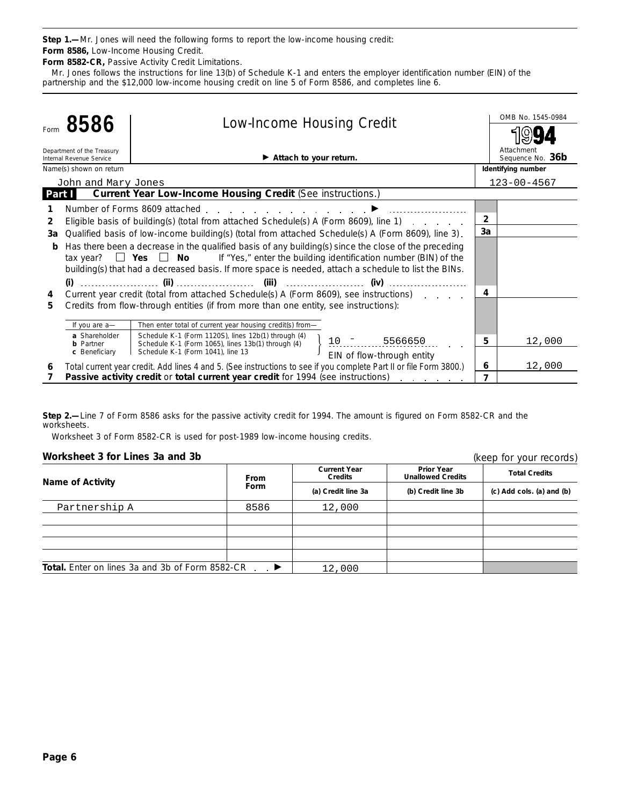**Step 1.—**Mr. Jones will need the following forms to report the low-income housing credit:

**Form 8582-CR,** Passive Activity Credit Limitations. **Form 8586,** Low-Income Housing Credit.

Mr. Jones follows the instructions for line 13(b) of Schedule K-1 and enters the employer identification number (EIN) of the partnership and the \$12,000 low-income housing credit on line 5 of Form 8586, and completes line 6.

|               |                                                                                                                                                                                                                                                                                                                | 8586<br><b>Low-Income Housing Credit</b>                                                                                                                                                                                       |                | OMB No. 1545-0984              |
|---------------|----------------------------------------------------------------------------------------------------------------------------------------------------------------------------------------------------------------------------------------------------------------------------------------------------------------|--------------------------------------------------------------------------------------------------------------------------------------------------------------------------------------------------------------------------------|----------------|--------------------------------|
|               |                                                                                                                                                                                                                                                                                                                |                                                                                                                                                                                                                                |                |                                |
|               | Department of the Treasury<br>Internal Revenue Service                                                                                                                                                                                                                                                         | $\blacktriangleright$ Attach to your return.                                                                                                                                                                                   |                | Attachment<br>Sequence No. 36b |
|               | Name(s) shown on return                                                                                                                                                                                                                                                                                        |                                                                                                                                                                                                                                |                | Identifying number             |
|               | John and Mary Jones                                                                                                                                                                                                                                                                                            |                                                                                                                                                                                                                                |                | $123 - 00 - 4567$              |
| <b>Part I</b> |                                                                                                                                                                                                                                                                                                                | <b>Current Year Low-Income Housing Credit (See instructions.)</b>                                                                                                                                                              |                |                                |
|               |                                                                                                                                                                                                                                                                                                                | Number of Forms 8609 attached entitled and the contract of Forms 8609 attached and the contract of the contract of the contract of the contract of the contract of the contract of the contract of the contract of the contrac |                |                                |
| 2             |                                                                                                                                                                                                                                                                                                                | Eligible basis of building(s) (total from attached Schedule(s) A (Form 8609), line 1)                                                                                                                                          | $\overline{2}$ |                                |
| За            |                                                                                                                                                                                                                                                                                                                | Qualified basis of low-income building(s) (total from attached Schedule(s) A (Form 8609), line 3).                                                                                                                             | 3a             |                                |
| b             | Has there been a decrease in the qualified basis of any building(s) since the close of the preceding<br>tax year? $\Box$ Yes $\Box$ No If "Yes," enter the building identification number (BIN) of the<br>building(s) that had a decreased basis. If more space is needed, attach a schedule to list the BINs. |                                                                                                                                                                                                                                |                |                                |
|               |                                                                                                                                                                                                                                                                                                                |                                                                                                                                                                                                                                |                |                                |
| 4             |                                                                                                                                                                                                                                                                                                                | Current year credit (total from attached Schedule(s) A (Form 8609), see instructions)                                                                                                                                          | 4              |                                |
| 5.            |                                                                                                                                                                                                                                                                                                                | Credits from flow-through entities (if from more than one entity, see instructions):                                                                                                                                           |                |                                |
|               | If you are a-                                                                                                                                                                                                                                                                                                  | Then enter total of current year housing credit(s) from-                                                                                                                                                                       |                |                                |
|               | a Shareholder<br><b>b</b> Partner                                                                                                                                                                                                                                                                              | Schedule K-1 (Form 1120S), lines 12b(1) through (4)<br>10 - 5566650<br>Schedule K-1 (Form 1065), lines 13b(1) through (4)                                                                                                      | 5              | 12,000                         |
|               | c Beneficiary                                                                                                                                                                                                                                                                                                  | Schedule K-1 (Form 1041), line 13<br>EIN of flow-through entity                                                                                                                                                                |                |                                |
| 6             |                                                                                                                                                                                                                                                                                                                | Total current year credit. Add lines 4 and 5. (See instructions to see if you complete Part II or file Form 3800.)                                                                                                             | 6              | 12,000                         |
|               |                                                                                                                                                                                                                                                                                                                | Passive activity credit or total current year credit for 1994 (see instructions)                                                                                                                                               | 7              |                                |

**Step 2.—**Line 7 of Form 8586 asks for the passive activity credit for 1994. The amount is figured on Form 8582-CR and the worksheets.

Worksheet 3 of Form 8582-CR is used for post-1989 low-income housing credits.

# **Worksheet 3 for Lines 3a and 3b**

(keep for your records)

| workshoot on the Linco out and op                      |               | IVECH IN YOUI ICCOINS)                |                                               |                                                   |  |
|--------------------------------------------------------|---------------|---------------------------------------|-----------------------------------------------|---------------------------------------------------|--|
| <b>Name of Activity</b>                                | <b>From</b>   | <b>Current Year</b><br><b>Credits</b> | <b>Prior Year</b><br><b>Unallowed Credits</b> | <b>Total Credits</b><br>(c) Add cols. (a) and (b) |  |
|                                                        | Form          | (a) Credit line 3a                    | (b) Credit line 3b                            |                                                   |  |
| Partnership A                                          | 8586          | 12,000                                |                                               |                                                   |  |
|                                                        |               |                                       |                                               |                                                   |  |
|                                                        |               |                                       |                                               |                                                   |  |
|                                                        |               |                                       |                                               |                                                   |  |
| <b>Total.</b> Enter on lines 3a and 3b of Form 8582-CR | $\rightarrow$ | 12,000                                |                                               |                                                   |  |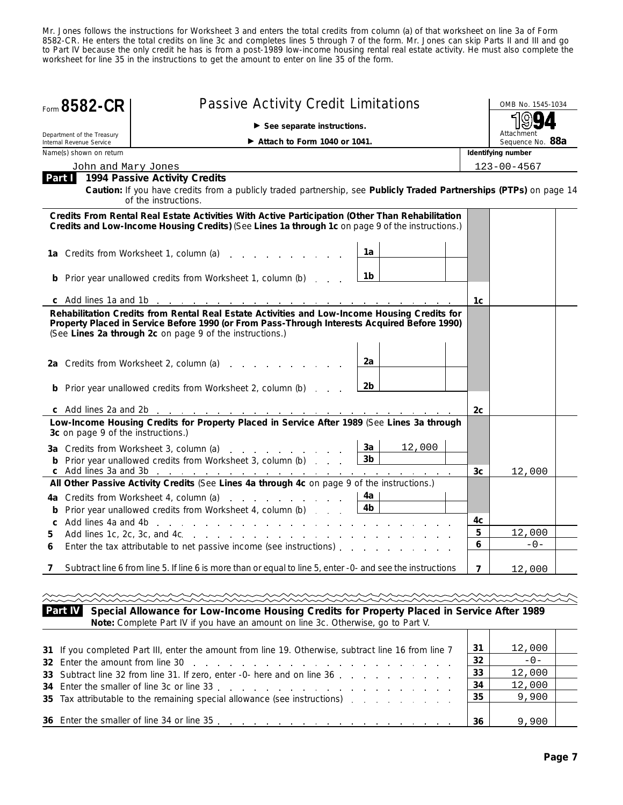Mr. Jones follows the instructions for Worksheet 3 and enters the total credits from column (a) of that worksheet on line 3a of Form 8582-CR. He enters the total credits on line 3c and completes lines 5 through 7 of the form. Mr. Jones can skip Parts II and III and go to Part IV because the only credit he has is from a post-1989 low-income housing rental real estate activity. He must also complete the worksheet for line 35 in the instructions to get the amount to enter on line 35 of the form.

| Form 8582-CR                                           | <b>Passive Activity Credit Limitations</b>                                                                                                                                                                                                                                |                                |                | OMB No. 1545-1034              |  |  |
|--------------------------------------------------------|---------------------------------------------------------------------------------------------------------------------------------------------------------------------------------------------------------------------------------------------------------------------------|--------------------------------|----------------|--------------------------------|--|--|
|                                                        | $\blacktriangleright$ See separate instructions.                                                                                                                                                                                                                          |                                |                |                                |  |  |
| Department of the Treasury<br>Internal Revenue Service | $\blacktriangleright$ Attach to Form 1040 or 1041.                                                                                                                                                                                                                        |                                |                | Attachment<br>Sequence No. 88a |  |  |
| Name(s) shown on return                                |                                                                                                                                                                                                                                                                           |                                |                | Identifying number             |  |  |
| John and Mary Jones                                    |                                                                                                                                                                                                                                                                           |                                |                | $123 - 00 - 4567$              |  |  |
|                                                        | <b>Part 1994 Passive Activity Credits</b><br>Caution: If you have credits from a publicly traded partnership, see Publicly Traded Partnerships (PTPs) on page 14<br>of the instructions.                                                                                  |                                |                |                                |  |  |
|                                                        | Credits From Rental Real Estate Activities With Active Participation (Other Than Rehabilitation<br>Credits and Low-Income Housing Credits) (See Lines 1a through 1c on page 9 of the instructions.)                                                                       |                                |                |                                |  |  |
|                                                        | <b>1a</b> Credits from Worksheet 1, column (a)                                                                                                                                                                                                                            | 1a                             |                |                                |  |  |
|                                                        | <b>b</b> Prior year unallowed credits from Worksheet 1, column (b)                                                                                                                                                                                                        | 1b                             |                |                                |  |  |
|                                                        |                                                                                                                                                                                                                                                                           |                                | 1c             |                                |  |  |
|                                                        | Property Placed in Service Before 1990 (or From Pass-Through Interests Acquired Before 1990)<br>(See Lines 2a through 2c on page 9 of the instructions.)<br>2a Credits from Worksheet 2, column (a)<br><b>b</b> Prior year unallowed credits from Worksheet 2, column (b) | 2a<br>2 <sub>b</sub>           | 2c             |                                |  |  |
| 3c on page 9 of the instructions.)                     | Low-Income Housing Credits for Property Placed in Service After 1989 (See Lines 3a through                                                                                                                                                                                |                                |                |                                |  |  |
|                                                        | 3a Credits from Worksheet 3, column (a)<br><b>b</b> Prior year unallowed credits from Worksheet 3, column (b)                                                                                                                                                             | 3a<br>12,000<br>3 <sub>b</sub> |                |                                |  |  |
|                                                        | All Other Passive Activity Credits (See Lines 4a through 4c on page 9 of the instructions.)                                                                                                                                                                               |                                | 3 <sub>c</sub> | 12,000                         |  |  |
|                                                        | 4a Credits from Worksheet 4, column (a)<br><b>b</b> Prior year unallowed credits from Worksheet 4, column (b)                                                                                                                                                             | 4a<br>4b                       | 4c             |                                |  |  |
| 5.                                                     | Add lines 1c, 2c, 3c, and 4c, where we will be a set of the set of the set of the set of the set of the set of the set of the set of the set of the set of the set of the set of the set of the set of the set of the set of t                                            |                                | 5              | 12,000                         |  |  |
| 6                                                      | Enter the tax attributable to net passive income (see instructions) enter the tax attributable to net passive income (see instructions)                                                                                                                                   |                                | 6              | $-0-$                          |  |  |
|                                                        | Subtract line 6 from line 5. If line 6 is more than or equal to line 5, enter -0- and see the instructions                                                                                                                                                                |                                | $\overline{ }$ | 12,000                         |  |  |
|                                                        |                                                                                                                                                                                                                                                                           |                                |                |                                |  |  |
| <b>Part IV</b>                                         | Special Allowance for Low-Income Housing Credits for Property Placed in Service After 1989                                                                                                                                                                                |                                |                |                                |  |  |

**Special Allowance for Low-Income Housing Credits for Property Placed in Service After 1989 Note:** *Complete Part IV if you have an amount on line 3c. Otherwise, go to Part V.*

| 31 If you completed Part III, enter the amount from line 19. Otherwise, subtract line 16 from line 7 | -31<br>-32 | 12,000<br>$-0-$  |  |
|------------------------------------------------------------------------------------------------------|------------|------------------|--|
| 33 Subtract line 32 from line 31. If zero, enter -0- here and on line 36                             | 33<br>34   | 12,000<br>12,000 |  |
| 35 Tax attributable to the remaining special allowance (see instructions)                            | 35         | 9,900            |  |
|                                                                                                      | 36         | 9,900            |  |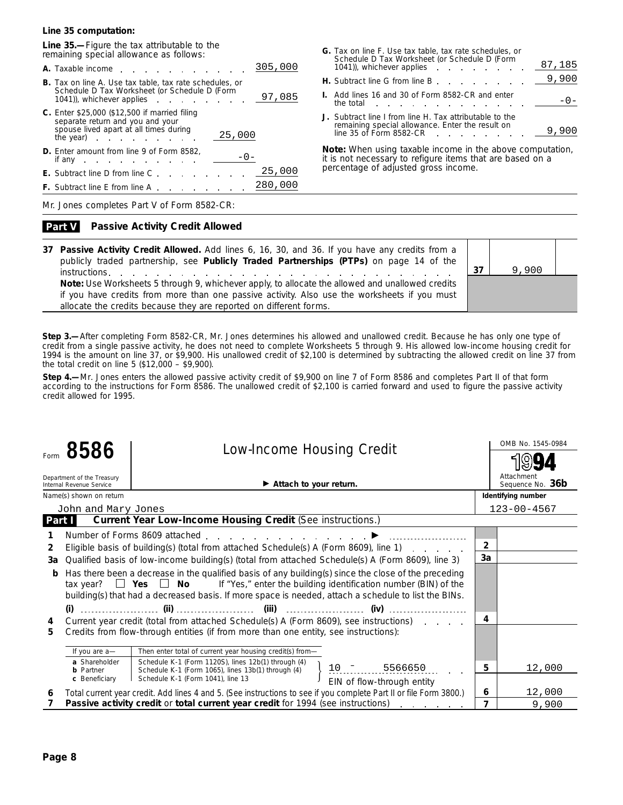#### **Line 35 computation:**

**Line 35.—**Figure the tax attributable to the remaining special allowance as follows:

|                                                                                                                                                                                                                                                                                                                                                   | 305,000 |
|---------------------------------------------------------------------------------------------------------------------------------------------------------------------------------------------------------------------------------------------------------------------------------------------------------------------------------------------------|---------|
| A. Taxable income                                                                                                                                                                                                                                                                                                                                 |         |
| <b>B.</b> Tax on line A. Use tax table, tax rate schedules, or<br>Schedule D Tax Worksheet (or Schedule D (Form<br>1041), whichever applies extended to the set of the set of the set of the set of the set of the set of the set of the set of the set of the set of the set of the set of the set of the set of the set of the set of the set o | 97,085  |
| C. Enter \$25,000 (\$12,500 if married filing<br>separate return and you and your<br>spouse lived apart at all times during<br>25,000<br>the year) $\blacksquare$                                                                                                                                                                                 |         |
| <b>D.</b> Enter amount from line 9 of Form 8582,<br>$-() -$<br>if any $\cdots$ $\cdots$                                                                                                                                                                                                                                                           |         |
| .<br><b>E.</b> Subtract line D from line C                                                                                                                                                                                                                                                                                                        | 25,000  |
| <b>F.</b> Subtract line E from line A.                                                                                                                                                                                                                                                                                                            | 280,000 |

| G. Tax on line F. Use tax table, tax rate schedules, or<br>Schedule D Tax Worksheet (or Schedule D (Form<br>1041), whichever applies extended to the set of the set of the set of the set of the set of the set of the set of the set of the set of the set of the set of the set of the set of the set of the set of the set of the set o | 87,185  |
|--------------------------------------------------------------------------------------------------------------------------------------------------------------------------------------------------------------------------------------------------------------------------------------------------------------------------------------------|---------|
| <b>H.</b> Subtract line G from line B                                                                                                                                                                                                                                                                                                      | 9,900   |
| <b>I.</b> Add lines 16 and 30 of Form 8582-CR and enter<br>the total the total the state of the total the state of the state of the state of the state of the state of the                                                                                                                                                                 | $-() -$ |
| J. Subtract line I from line H. Tax attributable to the<br>remaining special allowance. Enter the result on<br>line $35$ of Form $8582$ -CR.<br>.                                                                                                                                                                                          |         |

**Note:** *When using taxable income in the above computation, it is not necessary to refigure items that are based on a percentage of adjusted gross income.*

Mr. Jones completes Part V of Form 8582-CR:

#### **Passive Activity Credit Allowed Part V**

| 37 Passive Activity Credit Allowed. Add lines 6, 16, 30, and 36. If you have any credits from a<br>publicly traded partnership, see Publicly Traded Partnerships (PTPs) on page 14 of the<br>instructions. The contract of the contract of the contract of the contract of the contract of the contract of the contract of the contract of the contract of the contract of the contract of the contract of the contract of | 37 | 9,900 |  |
|----------------------------------------------------------------------------------------------------------------------------------------------------------------------------------------------------------------------------------------------------------------------------------------------------------------------------------------------------------------------------------------------------------------------------|----|-------|--|
| Note: Use Worksheets 5 through 9, whichever apply, to allocate the allowed and unallowed credits                                                                                                                                                                                                                                                                                                                           |    |       |  |
| if you have credits from more than one passive activity. Also use the worksheets if you must<br>allocate the credits because they are reported on different forms.                                                                                                                                                                                                                                                         |    |       |  |

**Step 3.—**After completing Form 8582-CR, Mr. Jones determines his allowed and unallowed credit. Because he has only one type of credit from a single passive activity, he does not need to complete Worksheets 5 through 9. His allowed low-income housing credit for 1994 is the amount on line 37, or \$9,900. His unallowed credit of \$2,100 is determined by subtracting the allowed credit on line 37 from the total credit on line 5 (\$12,000 – \$9,900).

**Step 4.—**Mr. Jones enters the allowed passive activity credit of \$9,900 on line 7 of Form 8586 and completes Part II of that form according to the instructions for Form 8586. The unallowed credit of \$2,100 is carried forward and used to figure the passive activity credit allowed for 1995.

|        | 8586<br><b>Low-Income Housing Credit</b>               |                                   |                                                                                                                | OMB No. 1545-0984                                                                                                                                                                                                                                                                                              |                |                                |
|--------|--------------------------------------------------------|-----------------------------------|----------------------------------------------------------------------------------------------------------------|----------------------------------------------------------------------------------------------------------------------------------------------------------------------------------------------------------------------------------------------------------------------------------------------------------------|----------------|--------------------------------|
|        | Department of the Treasury<br>Internal Revenue Service |                                   | $\blacktriangleright$ Attach to your return.                                                                   |                                                                                                                                                                                                                                                                                                                |                | Attachment<br>Sequence No. 36b |
|        | Name(s) shown on return                                |                                   |                                                                                                                |                                                                                                                                                                                                                                                                                                                |                | Identifying number             |
|        | John and Mary Jones                                    |                                   |                                                                                                                |                                                                                                                                                                                                                                                                                                                |                | $123 - 00 - 4567$              |
| Part I |                                                        |                                   | <b>Current Year Low-Income Housing Credit (See instructions.)</b>                                              |                                                                                                                                                                                                                                                                                                                |                |                                |
|        |                                                        |                                   | Number of Forms 8609 attached expansion of the set of the Number of Forms 8609 attached expansion of the set o |                                                                                                                                                                                                                                                                                                                |                |                                |
| 2      |                                                        |                                   |                                                                                                                | Eligible basis of building(s) (total from attached Schedule(s) A (Form 8609), line 1)                                                                                                                                                                                                                          | $\overline{2}$ |                                |
| За     |                                                        |                                   |                                                                                                                | Qualified basis of low-income building(s) (total from attached Schedule(s) A (Form 8609), line 3)                                                                                                                                                                                                              | 3a             |                                |
| b      |                                                        |                                   |                                                                                                                | Has there been a decrease in the qualified basis of any building(s) since the close of the preceding<br>tax year? $\Box$ Yes $\Box$ No If "Yes," enter the building identification number (BIN) of the<br>building(s) that had a decreased basis. If more space is needed, attach a schedule to list the BINs. |                |                                |
|        |                                                        |                                   |                                                                                                                |                                                                                                                                                                                                                                                                                                                |                |                                |
| 4      |                                                        |                                   |                                                                                                                | Current year credit (total from attached Schedule(s) A (Form 8609), see instructions)                                                                                                                                                                                                                          | 4              |                                |
| 5.     |                                                        |                                   | Credits from flow-through entities (if from more than one entity, see instructions):                           |                                                                                                                                                                                                                                                                                                                |                |                                |
|        | If you are a-                                          |                                   | Then enter total of current year housing credit(s) from-                                                       |                                                                                                                                                                                                                                                                                                                |                |                                |
|        | a Shareholder<br><b>b</b> Partner                      |                                   | Schedule K-1 (Form 1120S), lines 12b(1) through (4)<br>Schedule K-1 (Form 1065), lines 13b(1) through (4)      | $\frac{1}{2}$ 5566650                                                                                                                                                                                                                                                                                          | 5              | 12,000                         |
|        | c Beneficiary                                          | Schedule K-1 (Form 1041), line 13 |                                                                                                                | EIN of flow-through entity                                                                                                                                                                                                                                                                                     |                |                                |
| 6      |                                                        |                                   |                                                                                                                | Total current year credit. Add lines 4 and 5. (See instructions to see if you complete Part II or file Form 3800.)                                                                                                                                                                                             | 6              | 12,000                         |
|        |                                                        |                                   | Passive activity credit or total current year credit for 1994 (see instructions)                               | and a strong control of the state of                                                                                                                                                                                                                                                                           | $\overline{ }$ | 9,900                          |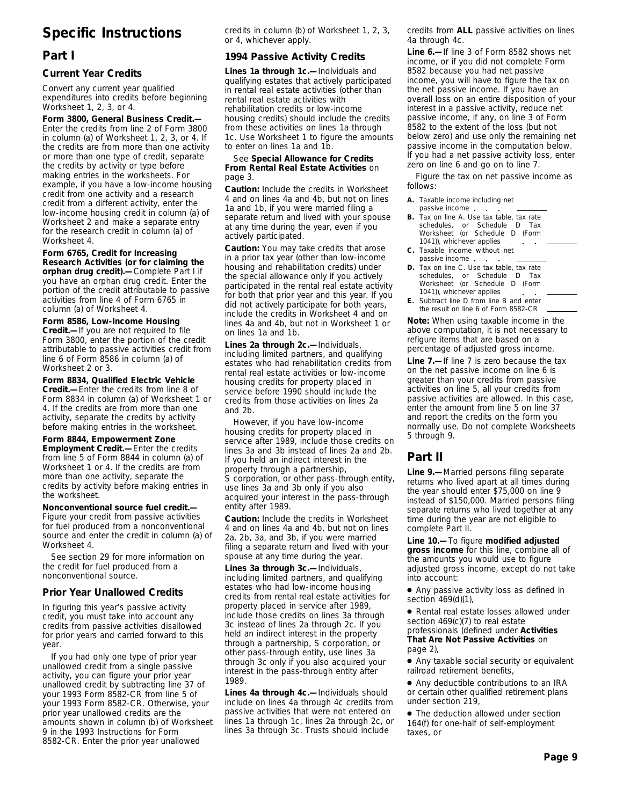# **Specific Instructions**

# **Part I**

#### **Current Year Credits**

Convert any current year qualified expenditures into credits before beginning Worksheet 1, 2, 3, or 4.

**Form 3800, General Business Credit.—** Enter the credits from line 2 of Form 3800 in column (a) of Worksheet 1, 2, 3, or 4. If the credits are from more than one activity or more than one type of credit, separate the credits by activity or type before making entries in the worksheets. For example, if you have a low-income housing credit from one activity and a research credit from a different activity, enter the low-income housing credit in column (a) of Worksheet 2 and make a separate entry for the research credit in column (a) of Worksheet 4.

**Form 6765, Credit for Increasing Research Activities (or for claiming the orphan drug credit).—**Complete Part I if you have an orphan drug credit. Enter the portion of the credit attributable to passive activities from line 4 of Form 6765 in column (a) of Worksheet 4.

**Form 8586, Low-Income Housing Credit.—**If you are not required to file Form 3800, enter the portion of the credit attributable to passive activities credit from line 6 of Form 8586 in column (a) of Worksheet 2 or 3.

**Form 8834, Qualified Electric Vehicle Credit.—**Enter the credits from line 8 of Form 8834 in column (a) of Worksheet 1 or 4. If the credits are from more than one activity, separate the credits by activity before making entries in the worksheet.

**Form 8844, Empowerment Zone Employment Credit.—**Enter the credits

from line 5 of Form 8844 in column (a) of Worksheet 1 or 4. If the credits are from more than one activity, separate the credits by activity before making entries in the worksheet.

**Nonconventional source fuel credit.—** Figure your credit from passive activities for fuel produced from a nonconventional source and enter the credit in column (a) of Worksheet 4.

See section 29 for more information on the credit for fuel produced from a nonconventional source.

### **Prior Year Unallowed Credits**

In figuring this year's passive activity credit, you must take into account any credits from passive activities disallowed for prior years and carried forward to this year.

If you had only one type of prior year unallowed credit from a single passive activity, you can figure your prior year unallowed credit by subtracting line 37 of your 1993 Form 8582-CR from line 5 of your 1993 Form 8582-CR. Otherwise, your prior year unallowed credits are the amounts shown in column (b) of Worksheet 9 in the 1993 Instructions for Form 8582-CR. Enter the prior year unallowed

credits in column (b) of Worksheet 1, 2, 3, or 4, whichever apply.

## **1994 Passive Activity Credits**

**Lines 1a through 1c.—**Individuals and qualifying estates that actively participated in rental real estate activities (other than rental real estate activities with rehabilitation credits or low-income housing credits) should include the credits from these activities on lines 1a through 1c. Use Worksheet 1 to figure the amounts to enter on lines 1a and 1b.

#### See **Special Allowance for Credits From Rental Real Estate Activities** on page 3.

**Caution:** *Include the credits in Worksheet 4 and on lines 4a and 4b, but not on lines 1a and 1b, if you were married filing a separate return and lived with your spouse at any time during the year, even if you actively participated.*

**Caution:** *You may take credits that arose in a prior tax year (other than low-income housing and rehabilitation credits) under the special allowance only if you actively participated in the rental real estate activity for both that prior year and this year. If you did not actively participate for both years, include the credits in Worksheet 4 and on lines 4a and 4b, but not in Worksheet 1 or on lines 1a and 1b.*

**Lines 2a through 2c.—**Individuals, including limited partners, and qualifying estates who had rehabilitation credits from rental real estate activities or low-income housing credits for property placed in service before 1990 should include the credits from those activities on lines 2a and 2b.

However, if you have low-income housing credits for property placed in service after 1989, include those credits on lines 3a and 3b instead of lines 2a and 2b. If you held an indirect interest in the property through a partnership, S corporation, or other pass-through entity, use lines 3a and 3b only if you also acquired your interest in the pass-through entity after 1989.

**Caution:** *Include the credits in Worksheet 4 and on lines 4a and 4b, but not on lines 2a, 2b, 3a, and 3b, if you were married filing a separate return and lived with your spouse at any time during the year.*

**Lines 3a through 3c.—**Individuals, including limited partners, and qualifying estates who had low-income housing credits from rental real estate activities for property placed in service after 1989, include those credits on lines 3a through 3c instead of lines 2a through 2c. If you held an indirect interest in the property through a partnership, S corporation, or other pass-through entity, use lines 3a through 3c only if you also acquired your interest in the pass-through entity after 1989.

**Lines 4a through 4c.—**Individuals should include on lines 4a through 4c credits from passive activities that were not entered on lines 1a through 1c, lines 2a through 2c, or lines 3a through 3c. Trusts should include

credits from **ALL** passive activities on lines 4a through 4c.

**Line 6.—**If line 3 of Form 8582 shows net income, or if you did not complete Form 8582 because you had net passive income, you will have to figure the tax on the net passive income. If you have an overall loss on an entire disposition of your interest in a passive activity, reduce net passive income, if any, on line 3 of Form 8582 to the extent of the loss (but not below zero) and use only the remaining net passive income in the computation below. If you had a net passive activity loss, enter zero on line 6 and go on to line 7.

Figure the tax on net passive income as follows:

- **A.** Taxable income including net passive income. **B.** Tax on line A. Use tax table, tax rate schedules, or Schedule D Tax Worksheet (or Schedule D (Form
- 1041)), whichever applies  $\sim$  $\Delta$ **C.** Taxable income without net passive income.
- **D.** Tax on line C. Use tax table, tax rate schedules, or Schedule D Tax Worksheet (or Schedule D (Form 1041)), whichever applies
- **E.** Subtract line D from line B and enter the result on line 6 of Form 8582-CR

**Note:** *When using taxable income in the above computation, it is not necessary to refigure items that are based on a percentage of adjusted gross income.*

**Line 7.—**If line 7 is zero because the tax on the net passive income on line 6 is greater than your credits from passive activities on line 5, all your credits from passive activities are allowed. In this case, enter the amount from line 5 on line 37 and report the credits on the form you normally use. Do not complete Worksheets 5 through 9.

# **Part II**

**Line 9.—**Married persons filing separate returns who lived apart at all times during the year should enter \$75,000 on line 9 instead of \$150,000. Married persons filing separate returns who lived together at any time during the year are not eligible to complete Part II.

**Line 10.—**To figure **modified adjusted gross income** for this line, combine all of the amounts you would use to figure adjusted gross income, except do not take into account:

● Any passive activity loss as defined in section 469(d)(1),

● Rental real estate losses allowed under section 469(c)(7) to real estate professionals (defined under **Activities That Are Not Passive Activities** on page 2),

- Any taxable social security or equivalent railroad retirement benefits,
- Any deductible contributions to an IRA or certain other qualified retirement plans under section 219,
- The deduction allowed under section 164(f) for one-half of self-employment taxes, or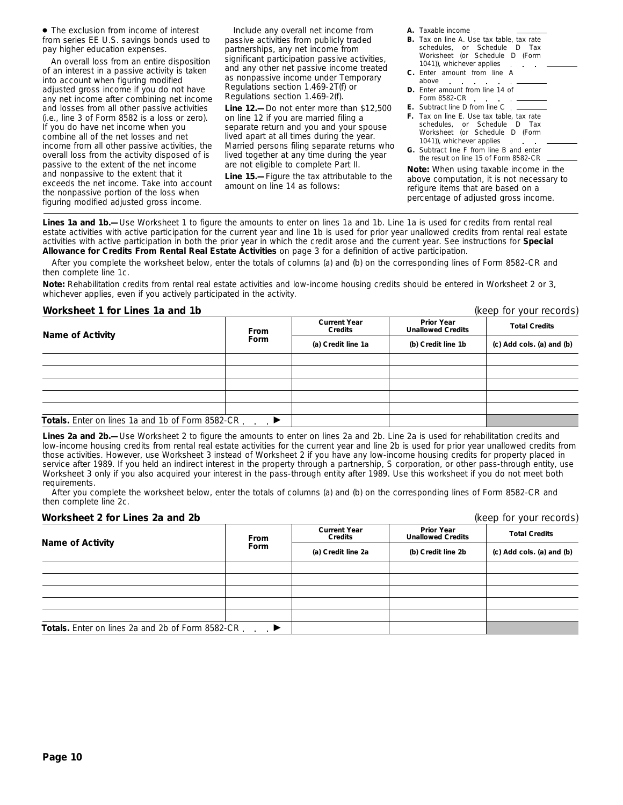● The exclusion from income of interest from series EE U.S. savings bonds used to pay higher education expenses.

An overall loss from an entire disposition of an interest in a passive activity is taken into account when figuring modified adjusted gross income if you do not have any net income after combining net income and losses from all other passive activities (i.e., line 3 of Form 8582 is a loss or zero). If you do have net income when you combine all of the net losses and net income from all other passive activities, the overall loss from the activity disposed of is passive to the extent of the net income and nonpassive to the extent that it exceeds the net income. Take into account the nonpassive portion of the loss when figuring modified adjusted gross income.

Include any overall net income from passive activities from publicly traded partnerships, any net income from significant participation passive activities, and any other net passive income treated as nonpassive income under Temporary Regulations section 1.469-2T(f) or Regulations section 1.469-2(f).

**Line 12.—**Do not enter more than \$12,500 on line 12 if you are married filing a separate return and you and your spouse lived apart at all times during the year. Married persons filing separate returns who lived together at any time during the year are not eligible to complete Part II.

**Line 15.—**Figure the tax attributable to the amount on line 14 as follows:

- **A.** Taxable income
- **B.** Tax on line A. Use tax table, tax rate schedules, or Schedule D Tax Worksheet (or Schedule D (Form 1041)), whichever applies **Service**
- **C.** Enter amount from line A above
- **D.** Enter amount from line 14 of Form 8582-CR . .
- **E.** Subtract line D from line C
- **F.** Tax on line E. Use tax table, tax rate schedules, or Schedule D Tax Worksheet (or Schedule D (Form 1041)), whichever applies.
- **G.** Subtract line F from line B and enter the result on line 15 of Form 8582-CR

**Note:** *When using taxable income in the above computation, it is not necessary to refigure items that are based on a percentage of adjusted gross income.*

Lines 1a and 1b.—Use Worksheet 1 to figure the amounts to enter on lines 1a and 1b. Line 1a is used for credits from rental real estate activities with active participation for the current year and line 1b is used for prior year unallowed credits from rental real estate activities with active participation in both the prior year in which the credit arose and the current year. See instructions for **Special Allowance for Credits From Rental Real Estate Activities** on page 3 for a definition of active participation.

After you complete the worksheet below, enter the totals of columns (a) and (b) on the corresponding lines of Form 8582-CR and then complete line 1c.

**Note:** *Rehabilitation credits from rental real estate activities and low-income housing credits should be entered in Worksheet 2 or 3, whichever applies, even if you actively participated in the activity.*

#### **Worksheet 1 for Lines 1a and 1b** (keep for your records)

**Prior Year Unallowed Credits Current Year COLLET TO BE CONSIDERED TO BE TO BE TO BE TO BE TO BE TO BE TO BE TO BE TO BE TO BE TO BE TO BE TO BE TO BE TO BE TO BE TO BE TO BE TO BE TO BE TO BE TO BE TO BE TO BE TO BE TO BE TO BE TO BE TO BE TO BE TO BE TO BE TO BE** Totals. Enter on lines 1a and 1b of Form 8582-CR . . . ▶

Lines 2a and 2b.—Use Worksheet 2 to figure the amounts to enter on lines 2a and 2b. Line 2a is used for rehabilitation credits and low-income housing credits from rental real estate activities for the current year and line 2b is used for prior year unallowed credits from those activities. However, use Worksheet 3 instead of Worksheet 2 if you have any low-income housing credits for property placed in service after 1989. If you held an indirect interest in the property through a partnership, S corporation, or other pass-through entity, use Worksheet 3 only if you also acquired your interest in the pass-through entity after 1989. Use this worksheet if you do not meet both requirements.

After you complete the worksheet below, enter the totals of columns (a) and (b) on the corresponding lines of Form 8582-CR and then complete line 2c.

#### **Worksheet 2 for Lines 2a and 2b** (keep for your records)

|                                                   | <b>From</b> | <b>Current Year</b><br><b>Credits</b> | <b>Prior Year</b><br><b>Unallowed Credits</b> | <b>Total Credits</b>      |
|---------------------------------------------------|-------------|---------------------------------------|-----------------------------------------------|---------------------------|
| Name of Activity                                  | Form        | (a) Credit line 2a                    | (b) Credit line 2b                            | (c) Add cols. (a) and (b) |
|                                                   |             |                                       |                                               |                           |
|                                                   |             |                                       |                                               |                           |
|                                                   |             |                                       |                                               |                           |
|                                                   |             |                                       |                                               |                           |
|                                                   |             |                                       |                                               |                           |
| Totals. Enter on lines 2a and 2b of Form 8582-CR. |             |                                       |                                               |                           |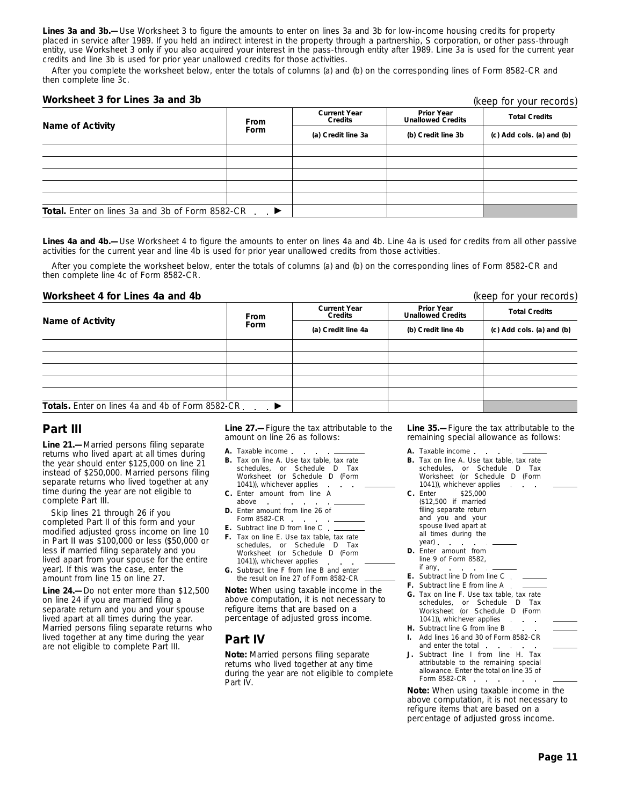**Lines 3a and 3b.—**Use Worksheet 3 to figure the amounts to enter on lines 3a and 3b for low-income housing credits for property placed in service after 1989. If you held an indirect interest in the property through a partnership, S corporation, or other pass-through entity, use Worksheet 3 only if you also acquired your interest in the pass-through entity after 1989. Line 3a is used for the current year credits and line 3b is used for prior year unallowed credits for those activities.

After you complete the worksheet below, enter the totals of columns (a) and (b) on the corresponding lines of Form 8582-CR and then complete line 3c.

#### **Worksheet 3 for Lines 3a and 3b**

(keep for your records)

|                                                        | <b>From</b>   | <b>Current Year</b><br><b>Credits</b> | <b>Prior Year</b><br><b>Unallowed Credits</b> | <b>Total Credits</b>      |
|--------------------------------------------------------|---------------|---------------------------------------|-----------------------------------------------|---------------------------|
| Name of Activity                                       | Form          | (a) Credit line 3a                    | (b) Credit line 3b                            | (c) Add cols. (a) and (b) |
|                                                        |               |                                       |                                               |                           |
|                                                        |               |                                       |                                               |                           |
|                                                        |               |                                       |                                               |                           |
|                                                        |               |                                       |                                               |                           |
|                                                        |               |                                       |                                               |                           |
| <b>Total.</b> Enter on lines 3a and 3b of Form 8582-CR | $\rightarrow$ |                                       |                                               |                           |

Lines 4a and 4b.—Use Worksheet 4 to figure the amounts to enter on lines 4a and 4b. Line 4a is used for credits from all other passive activities for the current year and line 4b is used for prior year unallowed credits from those activities.

After you complete the worksheet below, enter the totals of columns (a) and (b) on the corresponding lines of Form 8582-CR and then complete line 4c of Form 8582-CR.

#### **Worksheet 4 for Lines 4a and 4b** (keep for your records)

| <b>Name of Activity</b>                           | <b>From</b><br>Form | <b>Current Year</b><br>Credits | <b>Prior Year</b><br><b>Unallowed Credits</b> | <b>Total Credits</b>      |  |
|---------------------------------------------------|---------------------|--------------------------------|-----------------------------------------------|---------------------------|--|
|                                                   |                     | (a) Credit line 4a             | (b) Credit line 4b                            | (c) Add cols. (a) and (b) |  |
|                                                   |                     |                                |                                               |                           |  |
|                                                   |                     |                                |                                               |                           |  |
|                                                   |                     |                                |                                               |                           |  |
|                                                   |                     |                                |                                               |                           |  |
|                                                   |                     |                                |                                               |                           |  |
| Totals. Enter on lines 4a and 4b of Form 8582-CR. |                     |                                |                                               |                           |  |

# **Part III**

**Line 21.—**Married persons filing separate returns who lived apart at all times during the year should enter \$125,000 on line 21 instead of \$250,000. Married persons filing separate returns who lived together at any time during the year are not eligible to complete Part III.

Skip lines 21 through 26 if you completed Part II of this form and your modified adjusted gross income on line 10 in Part II was \$100,000 or less (\$50,000 or less if married filing separately and you lived apart from your spouse for the entire year). If this was the case, enter the amount from line 15 on line 27.

**Line 24.—**Do not enter more than \$12,500 on line 24 if you are married filing a separate return and you and your spouse lived apart at all times during the year. Married persons filing separate returns who lived together at any time during the year are not eligible to complete Part III.

**Line 27.—**Figure the tax attributable to the amount on line 26 as follows:

- **A.** Taxable income
- **B.** Tax on line A. Use tax table, tax rate schedules, or Schedule D Tax Worksheet (or Schedule D (Form 1041)), whichever applies
- **C.** Enter amount from line A
- above **D.** Enter amount from line 26 of Form 8582-CR
- **E.** Subtract line D from line C
- **F.** Tax on line E. Use tax table, tax rate schedules, or Schedule D Tax Worksheet (or Schedule D (Form 1041)), whichever applies
- **G.** Subtract line F from line B and enter the result on line 27 of Form 8582-CR

**Note:** *When using taxable income in the above computation, it is not necessary to refigure items that are based on a percentage of adjusted gross income.*

# **Part IV**

**Note:** *Married persons filing separate returns who lived together at any time during the year are not eligible to complete Part IV.*

**Line 35.—**Figure the tax attributable to the remaining special allowance as follows:

- **A.** Taxable income **B.** Tax on line A. Use tax table, tax rate schedules, or Schedule D Tax Worksheet (or Schedule D (Form 1041)), whichever applies **C.** Enter \$25,000 (\$12,500 if married filing separate return and you and your spouse lived apart at all times during the year) **D.** Enter amount from line 9 of Form 8582, if any **E.** Subtract line D from line C **F.** Subtract line E from line A **G.** Tax on line F. Use tax table, tax rate schedules, or Schedule D Tax Worksheet (or Schedule D (Form 1041)), whichever applies **H.** Subtract line G from line B.
- **I.** Add lines 16 and 30 of Form 8582-CR and enter the total
- Subtract line I from line H. Tax attributable to the remaining special allowance. Enter the total on line 35 of Form 8582-CR . . . . . .

**Note:** *When using taxable income in the above computation, it is not necessary to refigure items that are based on a percentage of adjusted gross income.*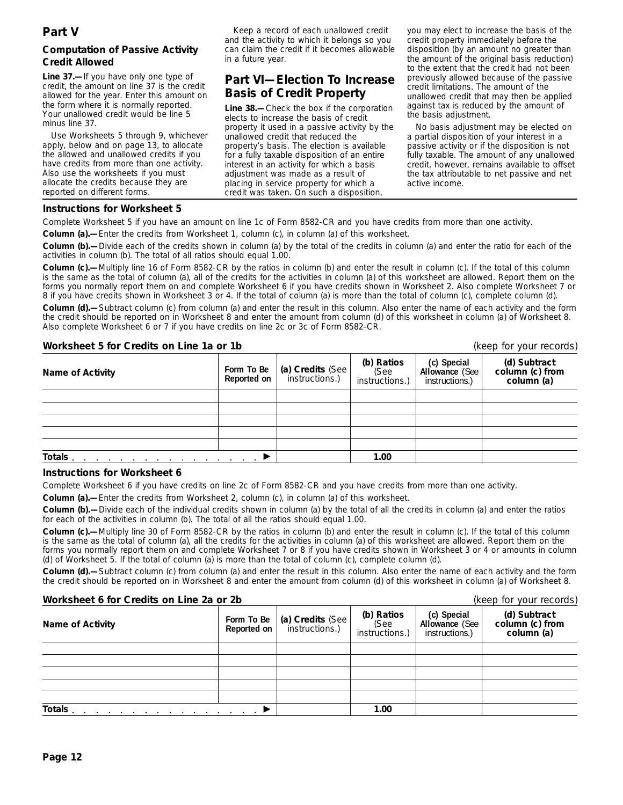# **Computation of Passive Activity Credit Allowed**

**Line 37.—**If you have only one type of credit, the amount on line 37 is the credit allowed for the year. Enter this amount on the form where it is normally reported. Your unallowed credit would be line 5 minus line 37.

Use Worksheets 5 through 9, whichever apply, below and on page 13, to allocate the allowed and unallowed credits if you have credits from more than one activity. Also use the worksheets if you must allocate the credits because they are reported on different forms.

Keep a record of each unallowed credit and the activity to which it belongs so you can claim the credit if it becomes allowable in a future year.

# **Part VI—Election To Increase Basis of Credit Property**

**Line 38.—**Check the box if the corporation elects to increase the basis of credit property it used in a passive activity by the unallowed credit that reduced the property's basis. The election is available for a fully taxable disposition of an entire interest in an activity for which a basis adjustment was made as a result of placing in service property for which a credit was taken. On such a disposition,

you may elect to increase the basis of the credit property immediately before the disposition (by an amount no greater than the amount of the original basis reduction) to the extent that the credit had not been previously allowed because of the passive credit limitations. The amount of the unallowed credit that may then be applied against tax is reduced by the amount of the basis adjustment.

No basis adjustment may be elected on a partial disposition of your interest in a passive activity or if the disposition is not fully taxable. The amount of any unallowed credit, however, remains available to offset the tax attributable to net passive and net active income.

### **Instructions for Worksheet 5**

Complete Worksheet 5 if you have an amount on line 1c of Form 8582-CR and you have credits from more than one activity.

**Column (a).—**Enter the credits from Worksheet 1, column (c), in column (a) of this worksheet.

**Column (b).—**Divide each of the credits shown in column (a) by the total of the credits in column (a) and enter the ratio for each of the activities in column (b). The total of all ratios should equal 1.00.

**Column (c).—**Multiply line 16 of Form 8582-CR by the ratios in column (b) and enter the result in column (c). If the total of this column is the same as the total of column (a), all of the credits for the activities in column (a) of this worksheet are allowed. Report them on the forms you normally report them on and complete Worksheet 6 if you have credits shown in Worksheet 2. Also complete Worksheet 7 or 8 if you have credits shown in Worksheet 3 or 4. If the total of column (a) is more than the total of column (c), complete column (d).

**Column (d).—**Subtract column (c) from column (a) and enter the result in this column. Also enter the name of each activity and the form the credit should be reported on in Worksheet 8 and enter the amount from column (d) of this worksheet in column (a) of Worksheet 8. Also complete Worksheet 6 or 7 if you have credits on line 2c or 3c of Form 8582-CR.

# **Worksheet 5 for Credits on Line 1a or 1b** (keep for your records)

| <b>Name of Activity</b>                                                                                                    | Form To Be<br>Reported on | (a) Credits (See<br>instructions.) | (b) Ratios<br>(See<br>instructions.) | (c) Special<br>Allowance (See<br>instructions.) | (d) Subtract<br>column (c) from<br>column (a) |
|----------------------------------------------------------------------------------------------------------------------------|---------------------------|------------------------------------|--------------------------------------|-------------------------------------------------|-----------------------------------------------|
|                                                                                                                            |                           |                                    |                                      |                                                 |                                               |
|                                                                                                                            |                           |                                    |                                      |                                                 |                                               |
|                                                                                                                            |                           |                                    |                                      |                                                 |                                               |
|                                                                                                                            |                           |                                    |                                      |                                                 |                                               |
|                                                                                                                            |                           |                                    |                                      |                                                 |                                               |
| Totals.<br>the contract of the contract of the contract of the contract of the contract of the contract of the contract of |                           |                                    | 1.00                                 |                                                 |                                               |

### **Instructions for Worksheet 6**

Complete Worksheet 6 if you have credits on line 2c of Form 8582-CR and you have credits from more than one activity.

**Column (a).—**Enter the credits from Worksheet 2, column (c), in column (a) of this worksheet.

**Column (b).—**Divide each of the individual credits shown in column (a) by the total of all the credits in column (a) and enter the ratios for each of the activities in column (b). The total of all the ratios should equal 1.00.

**Column (c).—**Multiply line 30 of Form 8582-CR by the ratios in column (b) and enter the result in column (c). If the total of this column is the same as the total of column (a), all the credits for the activities in column (a) of this worksheet are allowed. Report them on the forms you normally report them on and complete Worksheet 7 or 8 if you have credits shown in Worksheet 3 or 4 or amounts in column (d) of Worksheet 5. If the total of column (a) is more than the total of column (c), complete column (d).

**Column (d).—**Subtract column (c) from column (a) and enter the result in this column. Also enter the name of each activity and the form the credit should be reported on in Worksheet 8 and enter the amount from column (d) of this worksheet in column (a) of Worksheet 8.

**Worksheet 6 for Credits on Line 2a or 2b (keep for your records)** (keep for your records) **(d) Subtract column (c) from column (a) (c) Special Allowance** (See instructions.) **(b) Ratios** (See instructions.) **(a) Credits** (See instructions.) **Form To Be Name of Activity Totals** © **1.00**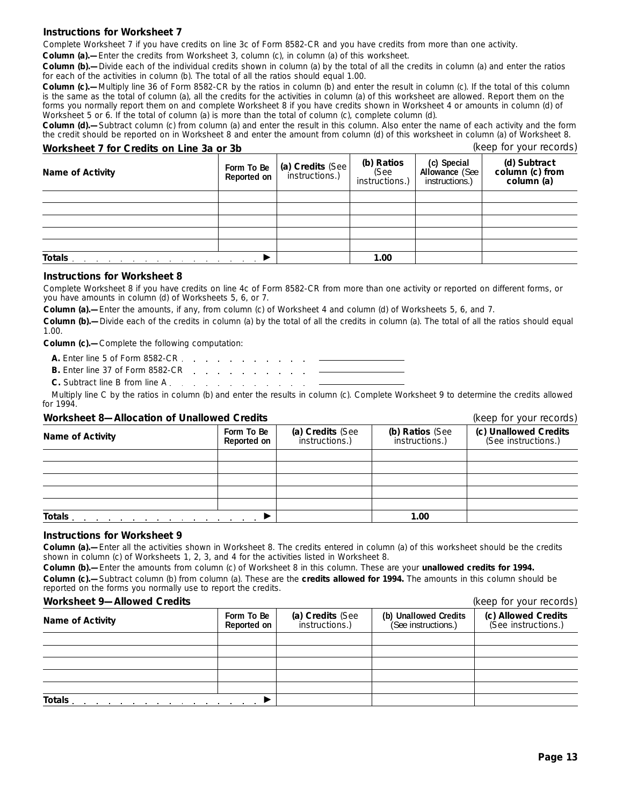#### **Instructions for Worksheet 7**

Complete Worksheet 7 if you have credits on line 3c of Form 8582-CR and you have credits from more than one activity.

**Column (a).—**Enter the credits from Worksheet 3, column (c), in column (a) of this worksheet.

**Column (b).—**Divide each of the individual credits shown in column (a) by the total of all the credits in column (a) and enter the ratios for each of the activities in column (b). The total of all the ratios should equal 1.00.

**Column (c).—**Multiply line 36 of Form 8582-CR by the ratios in column (b) and enter the result in column (c). If the total of this column is the same as the total of column (a), all the credits for the activities in column (a) of this worksheet are allowed. Report them on the forms you normally report them on and complete Worksheet 8 if you have credits shown in Worksheet 4 or amounts in column (d) of Worksheet 5 or 6. If the total of column (a) is more than the total of column (c), complete column (d).

**Column (d).—**Subtract column (c) from column (a) and enter the result in this column. Also enter the name of each activity and the form the credit should be reported on in Worksheet 8 and enter the amount from column (d) of this worksheet in column (a) of Worksheet 8.

| Worksheet 7 for Credits on Line 3a or 3b                                                                                   |                           |                                    |                                      |                                                 | (keep for your records)                       |
|----------------------------------------------------------------------------------------------------------------------------|---------------------------|------------------------------------|--------------------------------------|-------------------------------------------------|-----------------------------------------------|
| <b>Name of Activity</b>                                                                                                    | Form To Be<br>Reported on | (a) Credits (See<br>instructions.) | (b) Ratios<br>(See<br>instructions.) | (c) Special<br>Allowance (See<br>instructions.) | (d) Subtract<br>column (c) from<br>column (a) |
|                                                                                                                            |                           |                                    |                                      |                                                 |                                               |
|                                                                                                                            |                           |                                    |                                      |                                                 |                                               |
|                                                                                                                            |                           |                                    |                                      |                                                 |                                               |
|                                                                                                                            |                           |                                    |                                      |                                                 |                                               |
|                                                                                                                            |                           |                                    |                                      |                                                 |                                               |
| Totals.<br>the contract of the contract of the contract of the contract of the contract of the contract of the contract of |                           |                                    | 1.00                                 |                                                 |                                               |

#### **Instructions for Worksheet 8**

Complete Worksheet 8 if you have credits on line 4c of Form 8582-CR from more than one activity or reported on different forms, or you have amounts in column (d) of Worksheets 5, 6, or 7.

**Column (a).—**Enter the amounts, if any, from column (c) of Worksheet 4 and column (d) of Worksheets 5, 6, and 7.

**Column (b).—**Divide each of the credits in column (a) by the total of all the credits in column (a). The total of all the ratios should equal 1.00.

**Column (c).—**Complete the following computation:

| <b>B.</b> Enter line 37 of Form 8582-CR |  |  |  |  |  |  |
|-----------------------------------------|--|--|--|--|--|--|
|                                         |  |  |  |  |  |  |

**C.** Subtract line B from line A

Multiply line C by the ratios in column (b) and enter the results in column (c). Complete Worksheet 9 to determine the credits allowed for 1994.

#### **Worksheet 8—Allocation of Unallowed Credits** (*keep for your records*)

|                  |                           |                                    | $\frac{1}{2}$                     |                                              |  |
|------------------|---------------------------|------------------------------------|-----------------------------------|----------------------------------------------|--|
| Name of Activity | Form To Be<br>Reported on | (a) Credits (See<br>instructions.) | (b) Ratios (See<br>instructions.) | (c) Unallowed Credits<br>(See instructions.) |  |
|                  |                           |                                    |                                   |                                              |  |
|                  |                           |                                    |                                   |                                              |  |
|                  |                           |                                    |                                   |                                              |  |
|                  |                           |                                    |                                   |                                              |  |
|                  |                           |                                    |                                   |                                              |  |
| <b>Totals</b>    |                           |                                    | 1.00                              |                                              |  |

#### **Instructions for Worksheet 9**

**Column (a).—**Enter all the activities shown in Worksheet 8. The credits entered in column (a) of this worksheet should be the credits shown in column (c) of Worksheets 1, 2, 3, and 4 for the activities listed in Worksheet 8.

**Column (b).—**Enter the amounts from column (c) of Worksheet 8 in this column. These are your **unallowed credits for 1994. Column (c).—**Subtract column (b) from column (a). These are the **credits allowed for 1994.** The amounts in this column should be reported on the forms you normally use to report the credits.

#### **Worksheet 9—Allowed Credits** (keep for your records)

|                                                                                                                                                                                                                                           |                           |                                    |                                              | $\frac{1}{2}$                              |  |  |
|-------------------------------------------------------------------------------------------------------------------------------------------------------------------------------------------------------------------------------------------|---------------------------|------------------------------------|----------------------------------------------|--------------------------------------------|--|--|
| <b>Name of Activity</b>                                                                                                                                                                                                                   | Form To Be<br>Reported on | (a) Credits (See<br>instructions.) | (b) Unallowed Credits<br>(See instructions.) | (c) Allowed Credits<br>(See instructions.) |  |  |
|                                                                                                                                                                                                                                           |                           |                                    |                                              |                                            |  |  |
|                                                                                                                                                                                                                                           |                           |                                    |                                              |                                            |  |  |
|                                                                                                                                                                                                                                           |                           |                                    |                                              |                                            |  |  |
|                                                                                                                                                                                                                                           |                           |                                    |                                              |                                            |  |  |
|                                                                                                                                                                                                                                           |                           |                                    |                                              |                                            |  |  |
| Totals.<br>the contract of the contract of the contract of the contract of the contract of the contract of the contract of the contract of the contract of the contract of the contract of the contract of the contract of the contract o |                           |                                    |                                              |                                            |  |  |